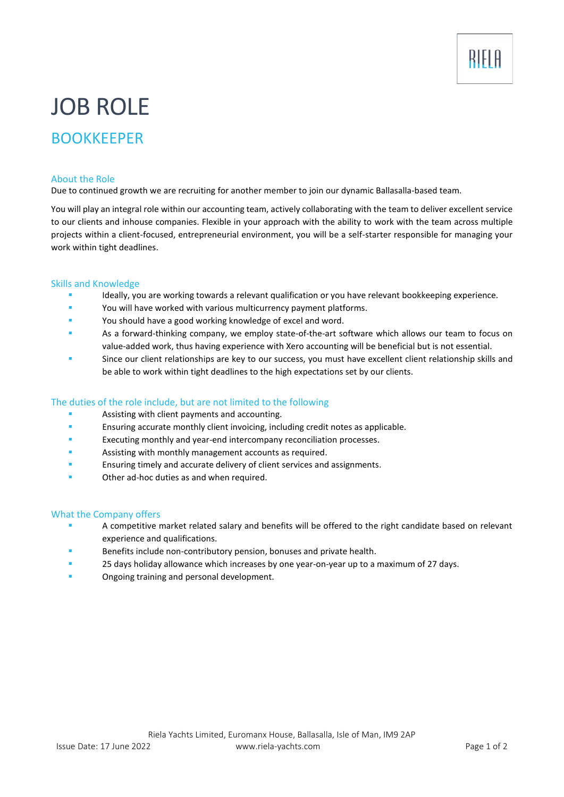# JOB ROLE

# BOOKKEEPER

#### About the Role

Due to continued growth we are recruiting for another member to join our dynamic Ballasalla-based team.

You will play an integral role within our accounting team, actively collaborating with the team to deliver excellent service to our clients and inhouse companies. Flexible in your approach with the ability to work with the team across multiple projects within a client-focused, entrepreneurial environment, you will be a self-starter responsible for managing your work within tight deadlines.

#### Skills and Knowledge

- Ideally, you are working towards a relevant qualification or you have relevant bookkeeping experience.
- You will have worked with various multicurrency payment platforms.
- You should have a good working knowledge of excel and word.
- As a forward-thinking company, we employ state-of-the-art software which allows our team to focus on value-added work, thus having experience with Xero accounting will be beneficial but is not essential.
- Since our client relationships are key to our success, you must have excellent client relationship skills and be able to work within tight deadlines to the high expectations set by our clients.

## The duties of the role include, but are not limited to the following

- Assisting with client payments and accounting.
- **Ensuring accurate monthly client invoicing, including credit notes as applicable.**
- Executing monthly and year-end intercompany reconciliation processes.
- Assisting with monthly management accounts as required.
- Ensuring timely and accurate delivery of client services and assignments.
- Other ad-hoc duties as and when required.

#### What the Company offers

- A competitive market related salary and benefits will be offered to the right candidate based on relevant experience and qualifications.
- Benefits include non-contributory pension, bonuses and private health.
- 25 days holiday allowance which increases by one year-on-year up to a maximum of 27 days.
- Ongoing training and personal development.